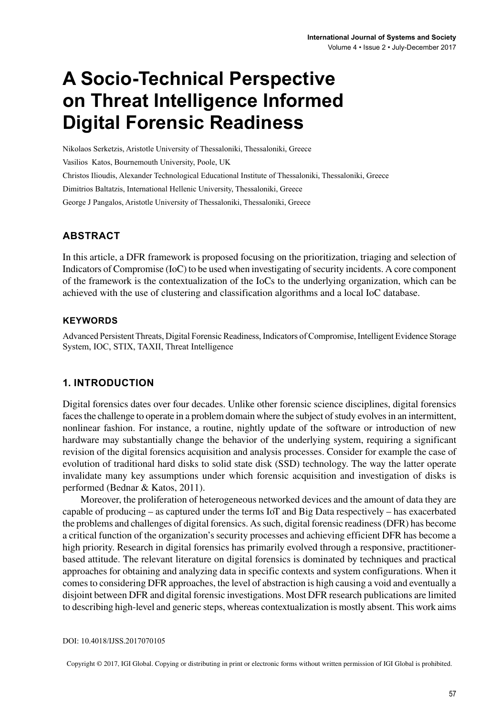# **A Socio-Technical Perspective on Threat Intelligence Informed Digital Forensic Readiness**

Nikolaos Serketzis, Aristotle University of Thessaloniki, Thessaloniki, Greece Vasilios Katos, Bournemouth University, Poole, UK Christos Ilioudis, Alexander Technological Educational Institute of Thessaloniki, Thessaloniki, Greece Dimitrios Baltatzis, International Hellenic University, Thessaloniki, Greece George J Pangalos, Aristotle University of Thessaloniki, Thessaloniki, Greece

## **ABSTRACT**

In this article, a DFR framework is proposed focusing on the prioritization, triaging and selection of Indicators of Compromise (IoC) to be used when investigating of security incidents. A core component of the framework is the contextualization of the IoCs to the underlying organization, which can be achieved with the use of clustering and classification algorithms and a local IoC database.

### **Keywords**

Advanced Persistent Threats, Digital Forensic Readiness, Indicators of Compromise, Intelligent Evidence Storage System, IOC, STIX, TAXII, Threat Intelligence

## **1. INTRODUCTION**

Digital forensics dates over four decades. Unlike other forensic science disciplines, digital forensics faces the challenge to operate in a problem domain where the subject of study evolves in an intermittent, nonlinear fashion. For instance, a routine, nightly update of the software or introduction of new hardware may substantially change the behavior of the underlying system, requiring a significant revision of the digital forensics acquisition and analysis processes. Consider for example the case of evolution of traditional hard disks to solid state disk (SSD) technology. The way the latter operate invalidate many key assumptions under which forensic acquisition and investigation of disks is performed (Bednar & Katos, 2011).

Moreover, the proliferation of heterogeneous networked devices and the amount of data they are capable of producing – as captured under the terms IoT and Big Data respectively – has exacerbated the problems and challenges of digital forensics. Assuch, digital forensic readiness(DFR) has become a critical function of the organization's security processes and achieving efficient DFR has become a high priority. Research in digital forensics has primarily evolved through a responsive, practitionerbased attitude. The relevant literature on digital forensics is dominated by techniques and practical approaches for obtaining and analyzing data in specific contexts and system configurations. When it comesto considering DFR approaches, the level of abstraction is high causing a void and eventually a disjoint between DFR and digital forensic investigations. Most DFR research publications are limited to describing high-level and generic steps, whereas contextualization is mostly absent. This work aims

DOI: 10.4018/IJSS.2017070105

Copyright © 2017, IGI Global. Copying or distributing in print or electronic forms without written permission of IGI Global is prohibited.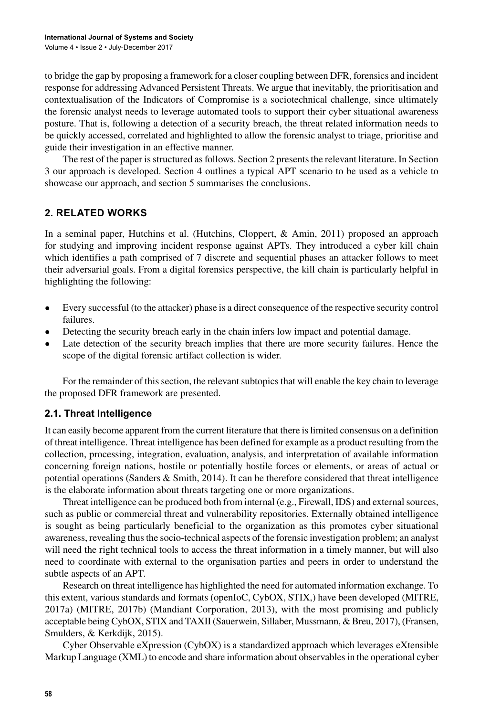to bridge the gap by proposing a framework for a closer coupling between DFR, forensics and incident response for addressing Advanced Persistent Threats. We argue that inevitably, the prioritisation and contextualisation of the Indicators of Compromise is a sociotechnical challenge, since ultimately the forensic analyst needs to leverage automated tools to support their cyber situational awareness posture. That is, following a detection of a security breach, the threat related information needs to be quickly accessed, correlated and highlighted to allow the forensic analyst to triage, prioritise and guide their investigation in an effective manner.

The rest of the paper is structured as follows. Section 2 presents the relevant literature. In Section 3 our approach is developed. Section 4 outlines a typical APT scenario to be used as a vehicle to showcase our approach, and section 5 summarises the conclusions.

## **2. RELATED WORKS**

In a seminal paper, Hutchins et al. (Hutchins, Cloppert, & Amin, 2011) proposed an approach for studying and improving incident response against APTs. They introduced a cyber kill chain which identifies a path comprised of 7 discrete and sequential phases an attacker follows to meet their adversarial goals. From a digital forensics perspective, the kill chain is particularly helpful in highlighting the following:

- Every successful (to the attacker) phase is a direct consequence of the respective security control failures.
- Detecting the security breach early in the chain infers low impact and potential damage.
- Late detection of the security breach implies that there are more security failures. Hence the scope of the digital forensic artifact collection is wider.

For the remainder of this section, the relevant subtopics that will enable the key chain to leverage the proposed DFR framework are presented.

## **2.1. Threat Intelligence**

It can easily become apparent from the current literature that there islimited consensus on a definition of threat intelligence. Threat intelligence has been defined for example as a product resulting from the collection, processing, integration, evaluation, analysis, and interpretation of available information concerning foreign nations, hostile or potentially hostile forces or elements, or areas of actual or potential operations (Sanders & Smith, 2014). It can be therefore considered that threat intelligence is the elaborate information about threats targeting one or more organizations.

Threat intelligence can be produced both from internal (e.g., Firewall, IDS) and externalsources, such as public or commercial threat and vulnerability repositories. Externally obtained intelligence is sought as being particularly beneficial to the organization as this promotes cyber situational awareness, revealing thus the socio-technical aspects of the forensic investigation problem; an analyst will need the right technical tools to access the threat information in a timely manner, but will also need to coordinate with external to the organisation parties and peers in order to understand the subtle aspects of an APT.

Research on threat intelligence has highlighted the need for automated information exchange. To this extent, various standards and formats (openIoC, CybOX, STIX,) have been developed (MITRE, 2017a) (MITRE, 2017b) (Mandiant Corporation, 2013), with the most promising and publicly acceptable being CybOX, STIX and TAXII (Sauerwein, Sillaber, Mussmann, & Breu, 2017), (Fransen, Smulders, & Kerkdijk, 2015).

Cyber Observable eXpression (CybOX) is a standardized approach which leverages eXtensible Markup Language (XML) to encode and share information about observablesin the operational cyber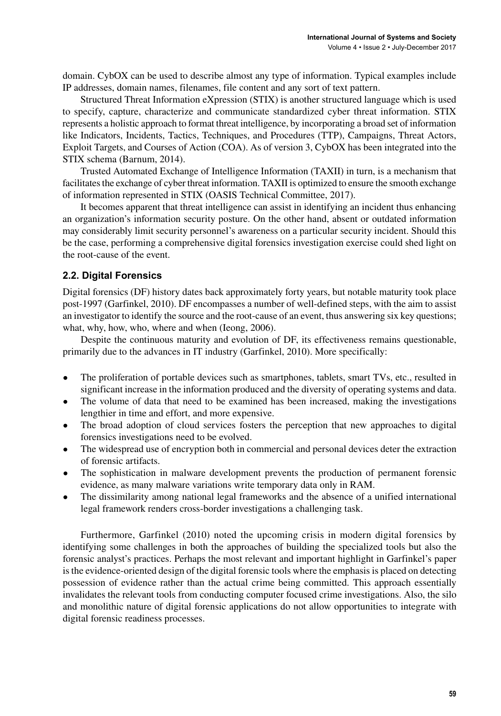domain. CybOX can be used to describe almost any type of information. Typical examples include IP addresses, domain names, filenames, file content and any sort of text pattern.

Structured Threat Information eXpression (STIX) is another structured language which is used to specify, capture, characterize and communicate standardized cyber threat information. STIX represents a holistic approach to format threat intelligence, by incorporating a broad set of information like Indicators, Incidents, Tactics, Techniques, and Procedures (TTP), Campaigns, Threat Actors, Exploit Targets, and Courses of Action (COA). As of version 3, CybOX has been integrated into the STIX schema (Barnum, 2014).

Trusted Automated Exchange of Intelligence Information (TAXII) in turn, is a mechanism that facilitates the exchange of cyber threat information. TAXII is optimized to ensure the smooth exchange of information represented in STIX (OASIS Technical Committee, 2017).

It becomes apparent that threat intelligence can assist in identifying an incident thus enhancing an organization's information security posture. On the other hand, absent or outdated information may considerably limit security personnel's awareness on a particular security incident. Should this be the case, performing a comprehensive digital forensics investigation exercise could shed light on the root-cause of the event.

## **2.2. Digital Forensics**

Digital forensics (DF) history dates back approximately forty years, but notable maturity took place post-1997 (Garfinkel, 2010). DF encompasses a number of well-defined steps, with the aim to assist an investigator to identify the source and the root-cause of an event, thus answering six key questions; what, why, how, who, where and when (Ieong, 2006).

Despite the continuous maturity and evolution of DF, its effectiveness remains questionable, primarily due to the advances in IT industry (Garfinkel, 2010). More specifically:

- The proliferation of portable devices such as smartphones, tablets, smart TVs, etc., resulted in significant increase in the information produced and the diversity of operating systems and data.
- The volume of data that need to be examined has been increased, making the investigations lengthier in time and effort, and more expensive.
- The broad adoption of cloud services fosters the perception that new approaches to digital forensics investigations need to be evolved.
- The widespread use of encryption both in commercial and personal devices deter the extraction of forensic artifacts.
- The sophistication in malware development prevents the production of permanent forensic evidence, as many malware variations write temporary data only in RAM.
- The dissimilarity among national legal frameworks and the absence of a unified international legal framework renders cross-border investigations a challenging task.

Furthermore, Garfinkel (2010) noted the upcoming crisis in modern digital forensics by identifying some challenges in both the approaches of building the specialized tools but also the forensic analyst's practices. Perhaps the most relevant and important highlight in Garfinkel's paper isthe evidence-oriented design of the digital forensic tools where the emphasisis placed on detecting possession of evidence rather than the actual crime being committed. This approach essentially invalidates the relevant tools from conducting computer focused crime investigations. Also, the silo and monolithic nature of digital forensic applications do not allow opportunities to integrate with digital forensic readiness processes.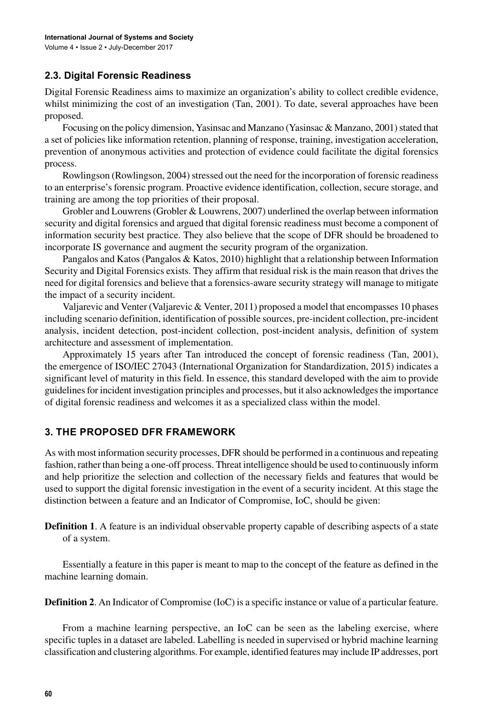## **2.3. Digital Forensic Readiness**

Digital Forensic Readiness aims to maximize an organization's ability to collect credible evidence, whilst minimizing the cost of an investigation (Tan, 2001). To date, several approaches have been proposed.

Focusing on the policy dimension, Yasinsac and Manzano (Yasinsac & Manzano, 2001) stated that a set of policies like information retention, planning of response, training, investigation acceleration, prevention of anonymous activities and protection of evidence could facilitate the digital forensics process.

Rowlingson (Rowlingson, 2004) stressed out the need for the incorporation of forensic readiness to an enterprise's forensic program. Proactive evidence identification, collection, secure storage, and training are among the top priorities of their proposal.

Grobler and Louwrens(Grobler & Louwrens, 2007) underlined the overlap between information security and digital forensics and argued that digital forensic readiness must become a component of information security best practice. They also believe that the scope of DFR should be broadened to incorporate IS governance and augment the security program of the organization.

Pangalos and Katos (Pangalos & Katos, 2010) highlight that a relationship between Information Security and Digital Forensics exists. They affirm that residual risk is the main reason that drives the need for digital forensics and believe that a forensics-aware security strategy will manage to mitigate the impact of a security incident.

Valjarevic and Venter (Valjarevic & Venter, 2011) proposed a model that encompasses 10 phases including scenario definition, identification of possible sources, pre-incident collection, pre-incident analysis, incident detection, post-incident collection, post-incident analysis, definition of system architecture and assessment of implementation.

Approximately 15 years after Tan introduced the concept of forensic readiness (Tan, 2001), the emergence of ISO/IEC 27043 (International Organization for Standardization, 2015) indicates a significant level of maturity in this field. In essence, this standard developed with the aim to provide guidelinesfor incident investigation principles and processes, but it also acknowledgesthe importance of digital forensic readiness and welcomes it as a specialized class within the model.

## **3. THE PROPOSED DFR FRAMEWORK**

As with most information security processes, DFR should be performed in a continuous and repeating fashion, rather than being a one-off process. Threat intelligence should be used to continuously inform and help prioritize the selection and collection of the necessary fields and features that would be used to support the digital forensic investigation in the event of a security incident. At this stage the distinction between a feature and an Indicator of Compromise, IoC, should be given:

**Definition 1**. A feature is an individual observable property capable of describing aspects of a state of a system.

Essentially a feature in this paper is meant to map to the concept of the feature as defined in the machine learning domain.

**Definition 2**. An Indicator of Compromise (IoC) is a specific instance or value of a particular feature.

From a machine learning perspective, an IoC can be seen as the labeling exercise, where specific tuples in a dataset are labeled. Labelling is needed in supervised or hybrid machine learning classification and clustering algorithms. For example, identified features may include IP addresses, port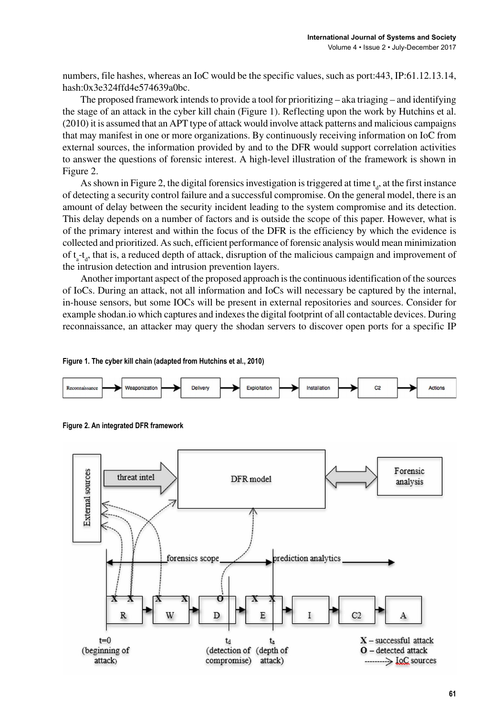numbers, file hashes, whereas an IoC would be the specific values, such as port:443, IP:61.12.13.14, hash:0x3e324ffd4e574639a0bc.

The proposed framework intends to provide a tool for prioritizing  $-$  aka triaging  $-$  and identifying the stage of an attack in the cyber kill chain (Figure 1). Reflecting upon the work by Hutchins et al. (2010) it is assumed that an APT type of attack would involve attack patterns and malicious campaigns that may manifest in one or more organizations. By continuously receiving information on IoC from external sources, the information provided by and to the DFR would support correlation activities to answer the questions of forensic interest. A high-level illustration of the framework is shown in Figure 2.

As shown in Figure 2, the digital forensics investigation is triggered at time  $t_a$ , at the first instance of detecting a security control failure and a successful compromise. On the general model, there is an amount of delay between the security incident leading to the system compromise and its detection. This delay depends on a number of factors and is outside the scope of this paper. However, what is of the primary interest and within the focus of the DFR is the efficiency by which the evidence is collected and prioritized. Assuch, efficient performance of forensic analysis would mean minimization of  $t_a$ - $t_a$ , that is, a reduced depth of attack, disruption of the malicious campaign and improvement of the intrusion detection and intrusion prevention layers.

Another important aspect of the proposed approach isthe continuousidentification of the sources of IoCs. During an attack, not all information and IoCs will necessary be captured by the internal, in-house sensors, but some IΟCs will be present in external repositories and sources. Consider for example shodan.io which captures and indexes the digital footprint of all contactable devices. During reconnaissance, an attacker may query the shodan servers to discover open ports for a specific IP



**Figure 1. The cyber kill chain (adapted from Hutchins et al., 2010)**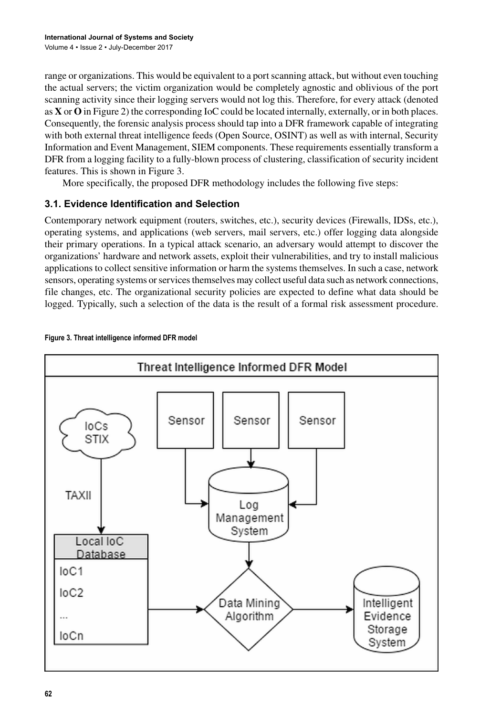range or organizations. This would be equivalent to a port scanning attack, but without even touching the actual servers; the victim organization would be completely agnostic and oblivious of the port scanning activity since their logging servers would not log this. Therefore, for every attack (denoted as **X** or **O** in Figure 2) the corresponding IoC could be located internally, externally, or in both places. Consequently, the forensic analysis process should tap into a DFR framework capable of integrating with both external threat intelligence feeds (Open Source, OSINT) as well as with internal, Security Information and Event Management, SIEM components. These requirements essentially transform a DFR from a logging facility to a fully-blown process of clustering, classification of security incident features. This is shown in Figure 3.

More specifically, the proposed DFR methodology includes the following five steps:

## **3.1. Evidence Identification and Selection**

Contemporary network equipment (routers, switches, etc.), security devices (Firewalls, IDSs, etc.), operating systems, and applications (web servers, mail servers, etc.) offer logging data alongside their primary operations. In a typical attack scenario, an adversary would attempt to discover the organizations' hardware and network assets, exploit their vulnerabilities, and try to install malicious applications to collect sensitive information or harm the systems themselves. In such a case, network sensors, operating systems or services themselves may collect useful data such as network connections, file changes, etc. The organizational security policies are expected to define what data should be logged. Typically, such a selection of the data is the result of a formal risk assessment procedure.



#### **Figure 3. Threat intelligence informed DFR model**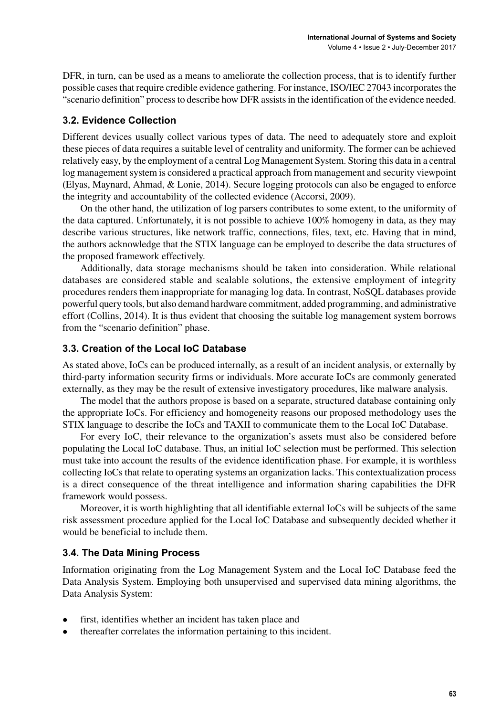DFR, in turn, can be used as a means to ameliorate the collection process, that is to identify further possible casesthat require credible evidence gathering. For instance, ISO/IEC 27043 incorporatesthe "scenario definition" processto describe how DFR assistsin the identification of the evidence needed.

## **3.2. Evidence Collection**

Different devices usually collect various types of data. The need to adequately store and exploit these pieces of data requires a suitable level of centrality and uniformity. The former can be achieved relatively easy, by the employment of a central Log Management System. Storing this data in a central log management system is considered a practical approach from management and security viewpoint (Elyas, Maynard, Ahmad, & Lonie, 2014). Secure logging protocols can also be engaged to enforce the integrity and accountability of the collected evidence (Accorsi, 2009).

On the other hand, the utilization of log parsers contributes to some extent, to the uniformity of the data captured. Unfortunately, it is not possible to achieve 100% homogeny in data, as they may describe various structures, like network traffic, connections, files, text, etc. Having that in mind, the authors acknowledge that the STIX language can be employed to describe the data structures of the proposed framework effectively.

Additionally, data storage mechanisms should be taken into consideration. While relational databases are considered stable and scalable solutions, the extensive employment of integrity procedures renders them inappropriate for managing log data. In contrast, NoSQL databases provide powerful query tools, but also demand hardware commitment, added programming, and administrative effort (Collins, 2014). It is thus evident that choosing the suitable log management system borrows from the "scenario definition" phase.

## **3.3. Creation of the Local IoC Database**

As stated above, IoCs can be produced internally, as a result of an incident analysis, or externally by third-party information security firms or individuals. More accurate IoCs are commonly generated externally, as they may be the result of extensive investigatory procedures, like malware analysis.

The model that the authors propose is based on a separate, structured database containing only the appropriate IoCs. For efficiency and homogeneity reasons our proposed methodology uses the STIX language to describe the IoCs and TAXII to communicate them to the Local IoC Database.

For every IoC, their relevance to the organization's assets must also be considered before populating the Local IoC database. Thus, an initial IoC selection must be performed. This selection must take into account the results of the evidence identification phase. For example, it is worthless collecting IoCs that relate to operating systems an organization lacks. This contextualization process is a direct consequence of the threat intelligence and information sharing capabilities the DFR framework would possess.

Moreover, it is worth highlighting that all identifiable external IoCs will be subjects of the same risk assessment procedure applied for the Local IoC Database and subsequently decided whether it would be beneficial to include them.

## **3.4. The Data Mining Process**

Information originating from the Log Management System and the Local IoC Database feed the Data Analysis System. Employing both unsupervised and supervised data mining algorithms, the Data Analysis System:

- first, identifies whether an incident has taken place and
- thereafter correlates the information pertaining to this incident.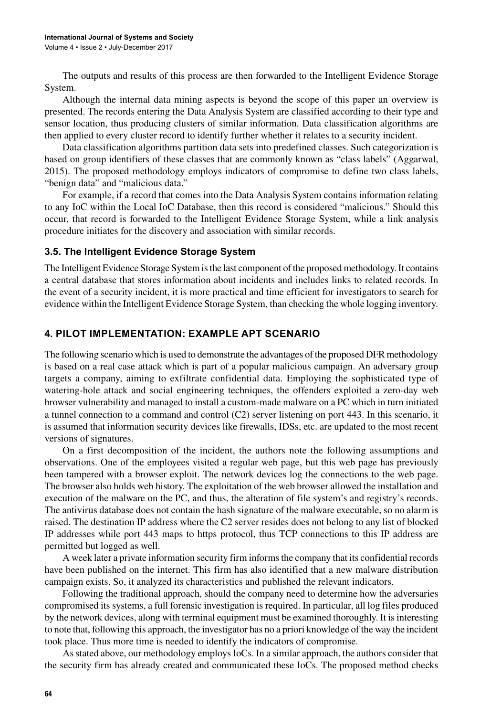The outputs and results of this process are then forwarded to the Intelligent Evidence Storage System.

Although the internal data mining aspects is beyond the scope of this paper an overview is presented. The records entering the Data Analysis System are classified according to their type and sensor location, thus producing clusters of similar information. Data classification algorithms are then applied to every cluster record to identify further whether it relates to a security incident.

Data classification algorithms partition data sets into predefined classes. Such categorization is based on group identifiers of these classes that are commonly known as "class labels" (Aggarwal, 2015). The proposed methodology employs indicators of compromise to define two class labels, "benign data" and "malicious data."

For example, if a record that comes into the Data Analysis System contains information relating to any IoC within the Local IoC Database, then this record is considered "malicious." Should this occur, that record is forwarded to the Intelligent Evidence Storage System, while a link analysis procedure initiates for the discovery and association with similar records.

#### **3.5. The Intelligent Evidence Storage System**

The Intelligent Evidence Storage System is the last component of the proposed methodology. It contains a central database that stores information about incidents and includes links to related records. In the event of a security incident, it is more practical and time efficient for investigators to search for evidence within the Intelligent Evidence Storage System, than checking the whole logging inventory.

### **4. PILOT IMPLEMENTATION: EXAMPLE APT SCENARIO**

The following scenario which is used to demonstrate the advantages of the proposed DFR methodology is based on a real case attack which is part of a popular malicious campaign. An adversary group targets a company, aiming to exfiltrate confidential data. Employing the sophisticated type of watering-hole attack and social engineering techniques, the offenders exploited a zero-day web browser vulnerability and managed to install a custom-made malware on a PC which in turn initiated a tunnel connection to a command and control (C2) server listening on port 443. In this scenario, it is assumed that information security devices like firewalls, IDSs, etc. are updated to the most recent versions of signatures.

On a first decomposition of the incident, the authors note the following assumptions and observations. One of the employees visited a regular web page, but this web page has previously been tampered with a browser exploit. The network devices log the connections to the web page. The browser also holds web history. The exploitation of the web browser allowed the installation and execution of the malware on the PC, and thus, the alteration of file system's and registry's records. The antivirus database does not contain the hash signature of the malware executable, so no alarm is raised. The destination IP address where the C2 server resides does not belong to any list of blocked IP addresses while port 443 maps to https protocol, thus TCP connections to this IP address are permitted but logged as well.

A week later a private information security firm informsthe company that its confidential records have been published on the internet. This firm has also identified that a new malware distribution campaign exists. So, it analyzed its characteristics and published the relevant indicators.

Following the traditional approach, should the company need to determine how the adversaries compromised its systems, a full forensic investigation is required. In particular, all log files produced by the network devices, along with terminal equipment must be examined thoroughly. It is interesting to note that, following this approach, the investigator has no a priori knowledge of the way the incident took place. Thus more time is needed to identify the indicators of compromise.

As stated above, our methodology employs IoCs. In a similar approach, the authors consider that the security firm has already created and communicated these ΙoCs. The proposed method checks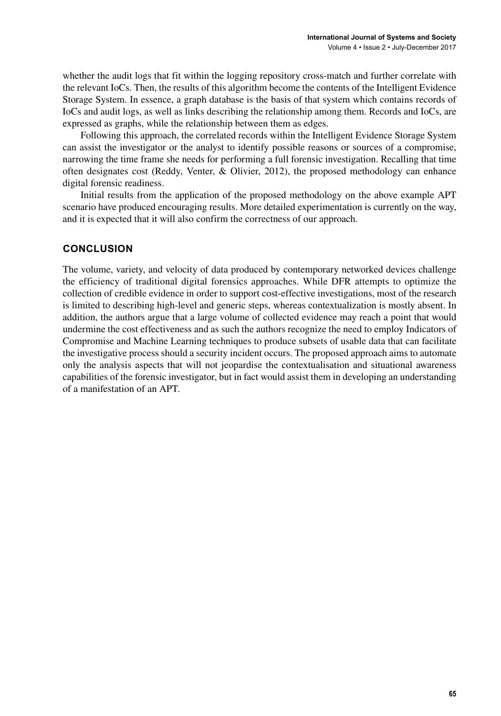whether the audit logs that fit within the logging repository cross-match and further correlate with the relevant IoCs. Then, the results of this algorithm become the contents of the Intelligent Evidence Storage System. In essence, a graph database is the basis of that system which contains records of IoCs and audit logs, as well as links describing the relationship among them. Records and IoCs, are expressed as graphs, while the relationship between them as edges.

Following this approach, the correlated records within the Intelligent Evidence Storage System can assist the investigator or the analyst to identify possible reasons or sources of a compromise, narrowing the time frame she needs for performing a full forensic investigation. Recalling that time often designates cost (Reddy, Venter, & Olivier, 2012), the proposed methodology can enhance digital forensic readiness.

Initial results from the application of the proposed methodology on the above example APT scenario have produced encouraging results. More detailed experimentation is currently on the way, and it is expected that it will also confirm the correctness of our approach.

## **CONCLUSION**

The volume, variety, and velocity of data produced by contemporary networked devices challenge the efficiency of traditional digital forensics approaches. While DFR attempts to optimize the collection of credible evidence in order to support cost-effective investigations, most of the research is limited to describing high-level and generic steps, whereas contextualization is mostly absent. In addition, the authors argue that a large volume of collected evidence may reach a point that would undermine the cost effectiveness and as such the authors recognize the need to employ Indicators of Compromise and Machine Learning techniques to produce subsets of usable data that can facilitate the investigative process should a security incident occurs. The proposed approach aims to automate only the analysis aspects that will not jeopardise the contextualisation and situational awareness capabilities of the forensic investigator, but in fact would assist them in developing an understanding of a manifestation of an APT.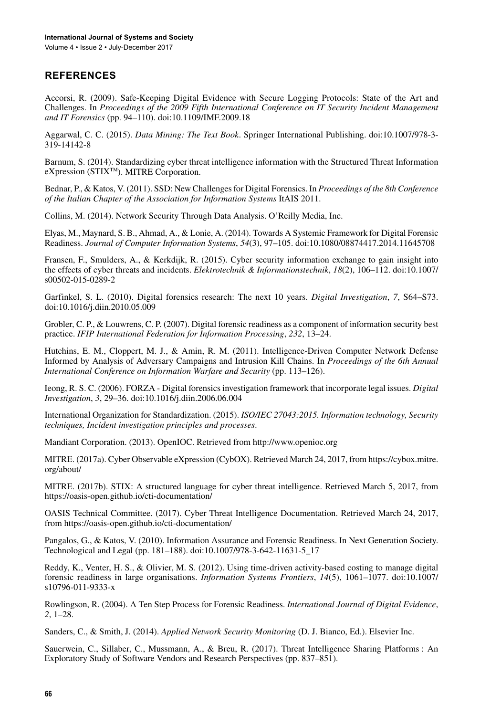## **REFERENCES**

Accorsi, R. (2009). Safe-Keeping Digital Evidence with Secure Logging Protocols: State of the Art and Challenges. In *Proceedings of the 2009 Fifth International Conference on IT Security Incident Management and IT Forensics* (pp. 94–110). doi:[10.1109/IMF.2009.18](http://dx.doi.org/10.1109/IMF.2009.18)

Aggarwal, C. C. (2015). *Data Mining: The Text Book*. Springer International Publishing. doi[:10.1007/978-3-](http://dx.doi.org/10.1007/978-3-319-14142-8) [319-14142-8](http://dx.doi.org/10.1007/978-3-319-14142-8)

Barnum, S. (2014). Standardizing cyber threat intelligence information with the Structured Threat Information eXpression (STIXTM). MITRE Corporation.

Bednar, P., & Katos, V. (2011). SSD: New Challengesfor Digital Forensics. In *Proceedings of the 8th Conference of the Italian Chapter of the Association for Information Systems* ItAIS 2011.

Collins, M. (2014). Network Security Through Data Analysis. O'Reilly Media, Inc.

Elyas, M., Maynard, S. B., Ahmad, A., & Lonie, A. (2014). Towards A Systemic Framework for Digital Forensic Readiness. *Journal of Computer Information Systems*, *54*(3), 97–105. doi[:10.1080/08874417.2014.11645708](http://dx.doi.org/10.1080/08874417.2014.11645708)

Fransen, F., Smulders, A., & Kerkdijk, R. (2015). Cyber security information exchange to gain insight into the effects of cyber threats and incidents. *Elektrotechnik & Informationstechnik*, *18*(2), 106–112. doi[:10.1007/](http://dx.doi.org/10.1007/s00502-015-0289-2) [s00502-015-0289-2](http://dx.doi.org/10.1007/s00502-015-0289-2)

Garfinkel, S. L. (2010). Digital forensics research: The next 10 years. *Digital Investigation*, *7*, S64–S73. doi:[10.1016/j.diin.2010.05.009](http://dx.doi.org/10.1016/j.diin.2010.05.009)

Grobler, C. P., & Louwrens, C. P. (2007). Digital forensic readiness as a component of information security best practice. *IFIP International Federation for Information Processing*, *232*, 13–24.

Hutchins, E. M., Cloppert, M. J., & Amin, R. M. (2011). Intelligence-Driven Computer Network Defense Informed by Analysis of Adversary Campaigns and Intrusion Kill Chains. In *Proceedings of the 6th Annual International Conference on Information Warfare and Security* (pp. 113–126).

Ieong, R. S. C. (2006). FORZA - Digital forensics investigation framework that incorporate legal issues. *Digital Investigation*, *3*, 29–36. doi:[10.1016/j.diin.2006.06.004](http://dx.doi.org/10.1016/j.diin.2006.06.004)

International Organization for Standardization. (2015). *ISO/IEC 27043:2015. Information technology, Security techniques, Incident investigation principles and processes*.

Mandiant Corporation. (2013). OpenIOC. Retrieved from <http://www.openioc.org>

MITRE. (2017a). Cyber Observable eXpression (CybOX). Retrieved March 24, 2017, from [https://cybox.mitre.](https://cybox.mitre.org/about/) [org/about/](https://cybox.mitre.org/about/)

MITRE. (2017b). STIX: A structured language for cyber threat intelligence. Retrieved March 5, 2017, from <https://oasis-open.github.io/cti-documentation/>

OASIS Technical Committee. (2017). Cyber Threat Intelligence Documentation. Retrieved March 24, 2017, from <https://oasis-open.github.io/cti-documentation/>

Pangalos, G., & Katos, V. (2010). Information Assurance and Forensic Readiness. In Next Generation Society. Technological and Legal (pp. 181–188). doi:[10.1007/978-3-642-11631-5\\_17](http://dx.doi.org/10.1007/978-3-642-11631-5_17)

Reddy, K., Venter, H. S., & Olivier, M. S. (2012). Using time-driven activity-based costing to manage digital forensic readiness in large organisations. *Information Systems Frontiers*, *14*(5), 1061–1077. doi:[10.1007/](http://dx.doi.org/10.1007/s10796-011-9333-x) [s10796-011-9333-x](http://dx.doi.org/10.1007/s10796-011-9333-x)

Rowlingson, R. (2004). A Ten Step Process for Forensic Readiness. *International Journal of Digital Evidence*, *2*, 1–28.

Sanders, C., & Smith, J. (2014). *Applied Network Security Monitoring* (D. J. Bianco, Ed.). Elsevier Inc.

Sauerwein, C., Sillaber, C., Mussmann, A., & Breu, R. (2017). Threat Intelligence Sharing Platforms : An Exploratory Study of Software Vendors and Research Perspectives (pp. 837–851).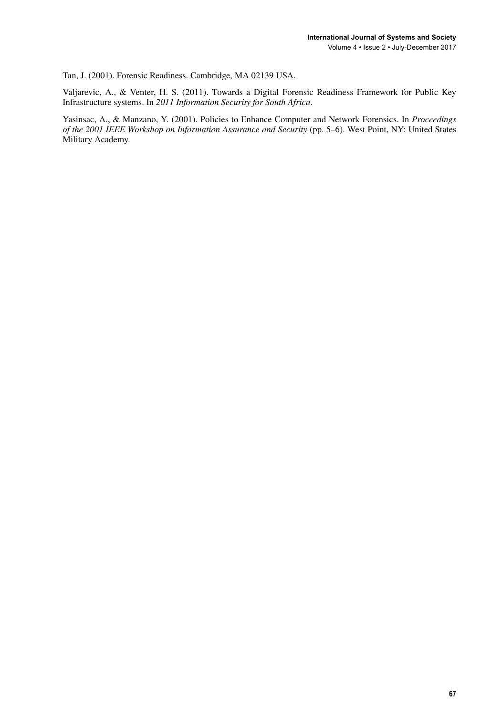Tan, J. (2001). Forensic Readiness. Cambridge, MA 02139 USA.

Valjarevic, A., & Venter, H. S. (2011). Towards a Digital Forensic Readiness Framework for Public Key Infrastructure systems. In *2011 Information Security for South Africa*.

Yasinsac, A., & Manzano, Y. (2001). Policies to Enhance Computer and Network Forensics. In *Proceedings of the 2001 IEEE Workshop on Information Assurance and Security* (pp. 5–6). West Point, NY: United States Military Academy.